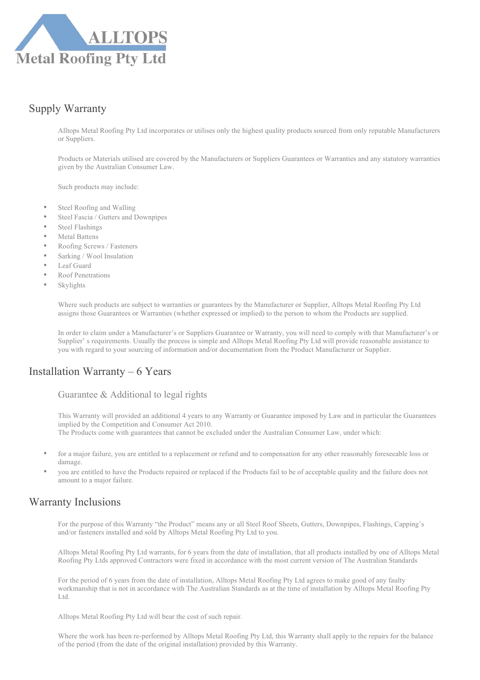

# Supply Warranty

Alltops Metal Roofing Pty Ltd incorporates or utilises only the highest quality products sourced from only reputable Manufacturers or Suppliers.

Products or Materials utilised are covered by the Manufacturers or Suppliers Guarantees or Warranties and any statutory warranties given by the Australian Consumer Law.

Such products may include:

- Steel Roofing and Walling
- Steel Fascia / Gutters and Downpipes
- Steel Flashings
- Metal Battens
- Roofing Screws / Fasteners
- Sarking / Wool Insulation
- Leaf Guard
- Roof Penetrations
- **Skylights**

Where such products are subject to warranties or guarantees by the Manufacturer or Supplier, Alltops Metal Roofing Pty Ltd assigns those Guarantees or Warranties (whether expressed or implied) to the person to whom the Products are supplied.

In order to claim under a Manufacturer's or Suppliers Guarantee or Warranty, you will need to comply with that Manufacturer's or Supplier' s requirements. Usually the process is simple and Alltops Metal Roofing Pty Ltd will provide reasonable assistance to you with regard to your sourcing of information and/or documentation from the Product Manufacturer or Supplier.

## Installation Warranty – 6 Years

#### Guarantee & Additional to legal rights

This Warranty will provided an additional 4 years to any Warranty or Guarantee imposed by Law and in particular the Guarantees implied by the Competition and Consumer Act 2010. The Products come with guarantees that cannot be excluded under the Australian Consumer Law, under which:

- for a major failure, you are entitled to a replacement or refund and to compensation for any other reasonably foreseeable loss or damage.
- you are entitled to have the Products repaired or replaced if the Products fail to be of acceptable quality and the failure does not amount to a major failure.

## Warranty Inclusions

For the purpose of this Warranty "the Product" means any or all Steel Roof Sheets, Gutters, Downpipes, Flashings, Capping's and/or fasteners installed and sold by Alltops Metal Roofing Pty Ltd to you.

Alltops Metal Roofing Pty Ltd warrants, for 6 years from the date of installation, that all products installed by one of Alltops Metal Roofing Pty Ltds approved Contractors were fixed in accordance with the most current version of The Australian Standards

For the period of 6 years from the date of installation, Alltops Metal Roofing Pty Ltd agrees to make good of any faulty workmanship that is not in accordance with The Australian Standards as at the time of installation by Alltops Metal Roofing Pty Ltd.

Alltops Metal Roofing Pty Ltd will bear the cost of such repair.

Where the work has been re-performed by Alltops Metal Roofing Pty Ltd, this Warranty shall apply to the repairs for the balance of the period (from the date of the original installation) provided by this Warranty.